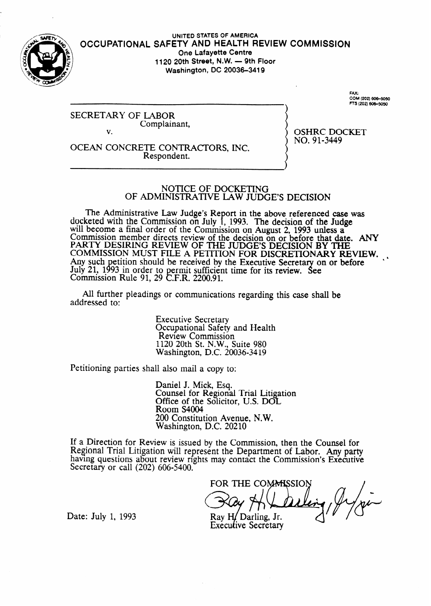

#### **UNITED STATES OF AMERICA OCCUPATIONAL SAFETY AND HEALTH REVIEW COMMISSION One Lafayette Centre 1120 20th Street, N.W. - 9th Floor Washington, DC 20036-3419**

SECRETARY OF LABOR Complainant, v.

OCEAN CONCRETE CONTRACTORS, INC. Respondent.

RS (202) 606-5050

.......<br>COM (202) 606–5050

FAX:

OSHRC DOCKET NO. 91-3449

#### NOTICE OF DOCKETING OF ADMINISTRATIVE LAW JUDGE'S DECISION

The Administrative Law Judge's Report in the above referenced case was docketed with the Commission on July 1, 1993. The decision of the Judge will become a final order of the Commission on August 2, 1993 unless a Commission member directs review of the decision on or before that date. ANY PARTY DESIRING REVIEW OF THE JUDGE'S DECISION BY THE COMMISSION MUST FILE A PETITION FOR DISCRETIONARY REVIEW. Any such petition should be received by the Executive Secretary on or before July 21, 1993 in order to permit sufficient time for its review.  $\mathbf C$ - See Commission Rule 91, 29 C.F.R. 2200.91.

All further pleadings or communications regarding this case shall be addressed to:

> Executive Secretary Occupational Safety and Health Review Commission 1120 20th St. N.W., Suite 980 Washington, D.C. 20036-34 19

Petitioning parties shall also mail a copy to:

Daniel J. Mick, Esq. Counsel for Regional Trial Litigation Office of the Solicitor, U.S. DOL Room S4004 200 Constitution Avenue, N.W. Washington, D.C. 20210

If a Direction for Review is issued by the Commission, then the Counsel for Regional Trial Litigation will represent the Department of Labor. Any party having questions about review rights may contact the Commission's Executive Secretary or call (202) 606-5400.

FOR THE COMMISSION Ray H/Darling, Jr.

**Executive Secretary** 

Date: July 1, 1993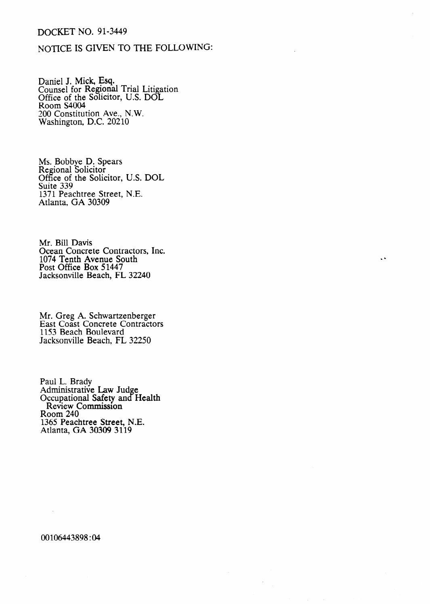# DOCKET NO. 91-3449

## NOTICE IS GIVEN TO THE FOLLOWING:

Daniel J. Mick, Esq. Counsel for Regional Trial Litigation Office of the Solicitor, U.S. DOI Room S4004 200 Constitution Ave., N.W. Washington, D.C. 20210

Ms. Bobbye D. Spears Regional Solicitor Office of the Solicitor, U.S. DOL Suite 339 1371 Peachtree Street, Atlanta, GA 30309 N.E.

Mr. Bill Davis Ocean Concrete Contractors, Inc. 1074 Tenth Avenue South Post Office Box 51447 Jacksonville Beach, FL 32240

 $\ddot{\phantom{a}}$ 

Mr. Greg A. Schwartzenberge East Coast Concrete Contractor 1153 Beach Boulevard Jacksonville Beach, FL 32250

Paul L. Brady Administrative Law Judge Occupational Safety and Health Review Commission Room 240 1365 Peachtree Street, N.E. Atlanta, GA 30309 3119

00106443898 :04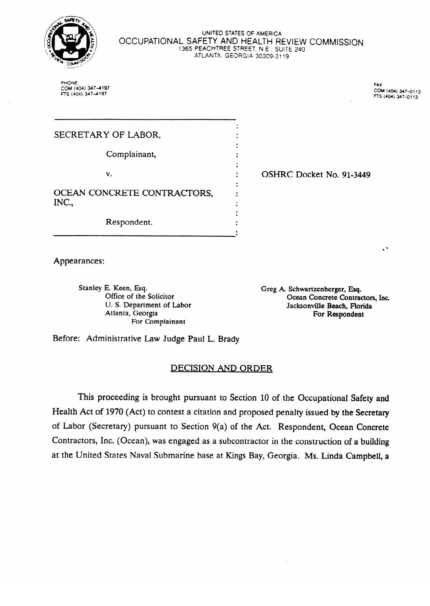

#### UWED **STATES OF AMERICA OCCUPATIONAL** SAFETY **AND HEALTH REVIEW COMMISSION**  1365 PEACHTREE STREET, N E , SUITE **240**  ATLANTA, GEORGIA 30309-311

PHONE COM (404) 347-4197<br>FTS (404) 347-4197

**FAX** COM (404) 347-0113 **Cow4oa) 347-0113** 

 $\ddot{\phantom{a}}$ 

| SECRETARY OF LABOR,                  |                          |
|--------------------------------------|--------------------------|
| Complainant,                         |                          |
| v.                                   | OSHRC Docket No. 91-3449 |
| OCEAN CONCRETE CONTRACTORS,<br>INC., |                          |
| Respondent.                          |                          |

Appearances:

Stanley E. Keen, Esq. Office of the Solicitor<br>U.S. Department of Labor Atlanta, Georgia  $E_{\alpha}$  Congraphy  $\alpha$ Atlanta, Georgia

Greg A. Schwartzenberger, Esq. Ocean Concrete Contractors, Inc. Jacksonville Beach, Florida For Respondent

Before: Administrative Law Judge Paul L. Brady

## **DECISION AND ORDER**

This proceeding is brought pursuant to Section 10 of the Occupational Safety and Health Act of 1970 (Act) to contest a citation and proposed penalty issued by the Secretary of Labor (Secretary) pursuant to Section 9(a) of the Act. Respondent, Ocean Concrete Contractors, Inc. (Ocean), was engaged as a subcontractor in the construction of a building at the United States Naval Submarine base at Kings Bay, Georgia. Ms. Linda Campbell, a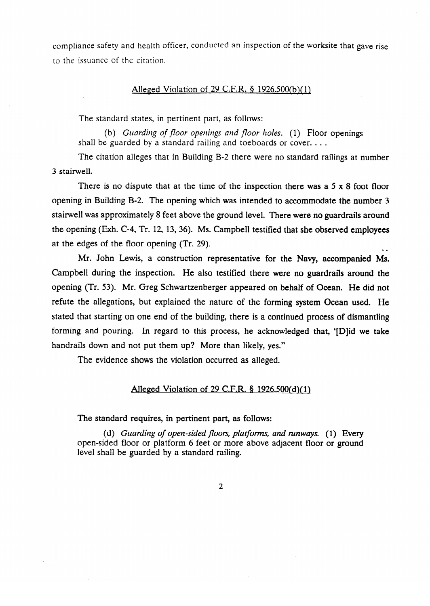compliance safety and health officer, conducted an inspection of the worksite that gave rise to the issuance of the citation.

#### Alleged Violation of 29 C.F.R.  $\S$  1926.500(b)(1)

The standard states, in pertinent part, as follows:<br>(b) *Guarding of floor openings and floor holes*. (1) Floor openings (b) *Gunrdiug of* floor *opeuiugs nnd floor* /roles. (1) Floor openings  $s_{\text{max}}$  begun ded by a standard railing and toeboards or cover. . . .

The citation alleges that in Building B-2 there were no standard railing at number  $\mathcal{S}$ 

 $\overline{\mathbf{3}}$ opening in Building B-2. The opening which was intended to accommodate the number 3 stairwell was approximately 8 feet above the ground level. There were no guardrails around the opening (Exh. C-4, Tr. 12, 13, 36). Ms. Campbell testified that she observed employees at the edges of the floor opening (Tr. 29).

Mr. John Lewis, a construction representative for the Navy, accompanied Ms. Campbell during the inspection. He also testified there were no guardrails around the opening (Tr. 53). Mr. Greg Schwartzenberger appeared on behalf of Ocean. He did not refute the allegations, but explained the nature of the forming system Ocean used. He stated that starting on one end of the building, there is a continued process of dismantling forming and pouring. In regard to this process, he acknowledged that, '[D]id we take handrails down and not put them up? More than likely, yes."

The evidence shows the violation occurred as alleged.

### Alleged Violation of 29 C.F.R. § 1926.500(d)(1)

The standard requires, in pertinent part, as follows:

(d) *Guarding of open-sided floors, platforms, and runways.* (1) Every open-sided floor or platform 6 feet or more above adjacent floor or ground level shall be guarded by a standard railing.

 $\overline{2}$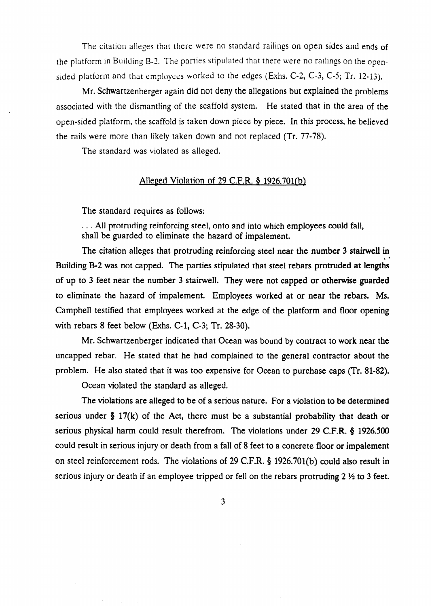The citation alleges that there were no standard railings on open sides and ends of the platform in Building B-2. The parties stipulated that there were no railings on the opensided platform and that employees worked to the edges (Exhs. C-2, C-3, C-5; Tr. 12-13).

Mr. Schwartzenberger again did not deny the allegations but explained the problems associated with the dismantling of the scaffold system. He stated that in the area of the open-sided platform, the scaffold is taken down piece by piece. In this process, he believed the rails were more than likely taken down and not replaced (Tr. 77-78).

The standard was violated as alleged.

### Alleged Violation of 29 C.F.R. § 1926.701(b)

The standard requires as follows:

. All protruding reinforcing steel, onto and into which employees could fall, shall be guarded to eliminate the hazard of impalement.

The citation alleges that protruding reinforcing steel near the number 3 stairwell in Building B-2 was not capped. The parties stipulated that steel rebars protruded at lengths of up to 3 feet near the number 3 stairwell. They were not capped or otherwise guarded to eliminate the hazard of impalement. Employees worked at or near the rebars. Ms. Campbell testified that employees worked at the edge of the platform and floor opening with rebars 8 feet below (Exhs. C-l, C-3; Tr. 28-30).

Mr. Schwartzenberger indicated that Ocean was bound by contract to work near the uncapped rebar. He stated that he had complained to the general contractor about the problem. He also stated that it was too expensive for Ocean to purchase caps (Tr. 81-82).

Ocean violated the standard as alleged.

The violations are alleged to be of a serious nature. For a violation to be determined serious under  $\S 17(k)$  of the Act, there must be a substantial probability that death or serious physical harm could result therefrom. The violations under 29 C.F.R. § 1926.500 could result in serious injury or death from a fall of 8 feet to a concrete floor or impalement on steel reinforcement rods. The violations of 29 C.F.R. § 1926.701(b) could also result in serious injury or death if an employee tripped or fell on the rebars protruding  $2 \frac{1}{2}$  to 3 feet.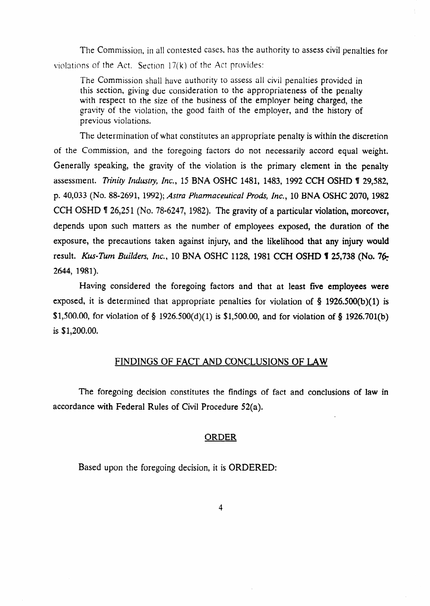The Commission, in all contested cases, has the authority to assess civil penalties for violations of the Act. Section  $17(k)$  of the Act provides:

The Commission shall have authority to assess all civil penalties provided in this section, giving due consideration to the appropriateness of the penalty with respect to the size of the business of the employer being charged, the eravity of the violation, the good faith of the employer, and the history of previous violations.

The determination of what constitutes an appropriate penalty is within the discretion of the Commission, and the foregoing factors do not necessarily accord equal weight. Generally speaking, the gravity of the violation is the primary element in the penalty assessment. *Trinity Industry, Inc.,* 15 BNA OSHC 1481, 1483, 1992 CCH OSHD 1 29,582, p. *40,033 (No.* 88-2691, 1992); *Astra Phamzaceutical Prod& Inc.,* 10 BNA OSHC 2070, 1982 CCH OSHD **1** 26,251 (No. 78-6247, 1982). The gravity of a particular violation, moreover, depends upon such matters as the number of employees exposed, the duration of the exposure, the precautions taken against injury, and the likelihood that any injury would result. *Kus-Tum Builders, Inc.*, 10 BNA OSHC 1128, 1981 CCH OSHD **1** 25,738 (No. 76-2644, 1981).

Having considered the foregoing factors and that at least five employees were exposed, it is determined that appropriate penalties for violation of  $\S$  1926.500(b)(1) is \$1,500.00, for violation of § 1926.500(d)(1) is \$1,500.00, and for violation of § 1926.701(b) is \$1,200.00.

## FINDINGS OF FACT AND CONCLUSIONS OF LAW

The foregoing decision constitutes the findings of fact and conclusions of law in accordance with Federal Rules of Civil Procedure 52(a).

### ORDER

Based upon the foregoing decision, it is ORDERED: